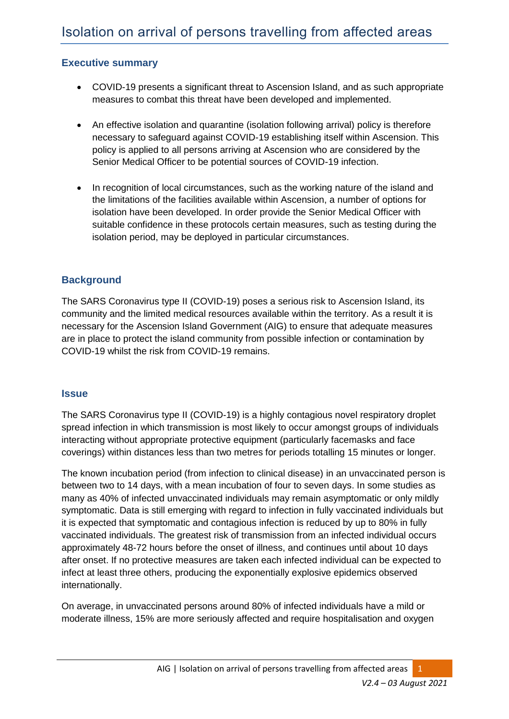## **Executive summary**

- COVID-19 presents a significant threat to Ascension Island, and as such appropriate measures to combat this threat have been developed and implemented.
- An effective isolation and quarantine (isolation following arrival) policy is therefore necessary to safeguard against COVID-19 establishing itself within Ascension. This policy is applied to all persons arriving at Ascension who are considered by the Senior Medical Officer to be potential sources of COVID-19 infection.
- In recognition of local circumstances, such as the working nature of the island and the limitations of the facilities available within Ascension, a number of options for isolation have been developed. In order provide the Senior Medical Officer with suitable confidence in these protocols certain measures, such as testing during the isolation period, may be deployed in particular circumstances.

# **Background**

The SARS Coronavirus type II (COVID-19) poses a serious risk to Ascension Island, its community and the limited medical resources available within the territory. As a result it is necessary for the Ascension Island Government (AIG) to ensure that adequate measures are in place to protect the island community from possible infection or contamination by COVID-19 whilst the risk from COVID-19 remains.

#### **Issue**

The SARS Coronavirus type II (COVID-19) is a highly contagious novel respiratory droplet spread infection in which transmission is most likely to occur amongst groups of individuals interacting without appropriate protective equipment (particularly facemasks and face coverings) within distances less than two metres for periods totalling 15 minutes or longer.

The known incubation period (from infection to clinical disease) in an unvaccinated person is between two to 14 days, with a mean incubation of four to seven days. In some studies as many as 40% of infected unvaccinated individuals may remain asymptomatic or only mildly symptomatic. Data is still emerging with regard to infection in fully vaccinated individuals but it is expected that symptomatic and contagious infection is reduced by up to 80% in fully vaccinated individuals. The greatest risk of transmission from an infected individual occurs approximately 48-72 hours before the onset of illness, and continues until about 10 days after onset. If no protective measures are taken each infected individual can be expected to infect at least three others, producing the exponentially explosive epidemics observed internationally.

On average, in unvaccinated persons around 80% of infected individuals have a mild or moderate illness, 15% are more seriously affected and require hospitalisation and oxygen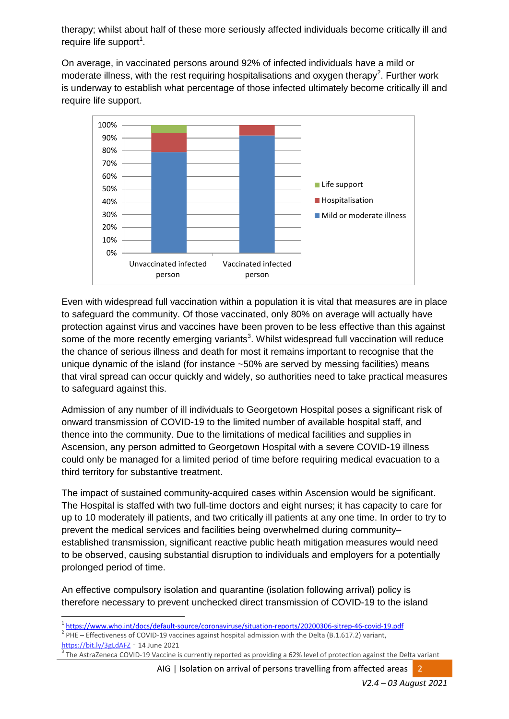therapy; whilst about half of these more seriously affected individuals become critically ill and require life support<sup>1</sup>.

On average, in vaccinated persons around 92% of infected individuals have a mild or moderate illness, with the rest requiring hospitalisations and oxygen therapy<sup>2</sup>. Further work is underway to establish what percentage of those infected ultimately become critically ill and require life support.



Even with widespread full vaccination within a population it is vital that measures are in place to safeguard the community. Of those vaccinated, only 80% on average will actually have protection against virus and vaccines have been proven to be less effective than this against some of the more recently emerging variants<sup>3</sup>. Whilst widespread full vaccination will reduce the chance of serious illness and death for most it remains important to recognise that the unique dynamic of the island (for instance ~50% are served by messing facilities) means that viral spread can occur quickly and widely, so authorities need to take practical measures to safeguard against this.

Admission of any number of ill individuals to Georgetown Hospital poses a significant risk of onward transmission of COVID-19 to the limited number of available hospital staff, and thence into the community. Due to the limitations of medical facilities and supplies in Ascension, any person admitted to Georgetown Hospital with a severe COVID-19 illness could only be managed for a limited period of time before requiring medical evacuation to a third territory for substantive treatment.

The impact of sustained community-acquired cases within Ascension would be significant. The Hospital is staffed with two full-time doctors and eight nurses; it has capacity to care for up to 10 moderately ill patients, and two critically ill patients at any one time. In order to try to prevent the medical services and facilities being overwhelmed during community– established transmission, significant reactive public heath mitigation measures would need to be observed, causing substantial disruption to individuals and employers for a potentially prolonged period of time.

An effective compulsory isolation and quarantine (isolation following arrival) policy is therefore necessary to prevent unchecked direct transmission of COVID-19 to the island

 $2$  PHE – Effectiveness of COVID-19 vaccines against hospital admission with the Delta (B.1.617.2) variant, <https://bit.ly/3gLdAFZ> – 14 June 2021

**.** 

AIG | Isolation on arrival of persons travelling from affected areas 2

<sup>1</sup> <https://www.who.int/docs/default-source/coronaviruse/situation-reports/20200306-sitrep-46-covid-19.pdf>

<sup>3</sup> The AstraZeneca COVID-19 Vaccine is currently reported as providing a 62% level of protection against the Delta variant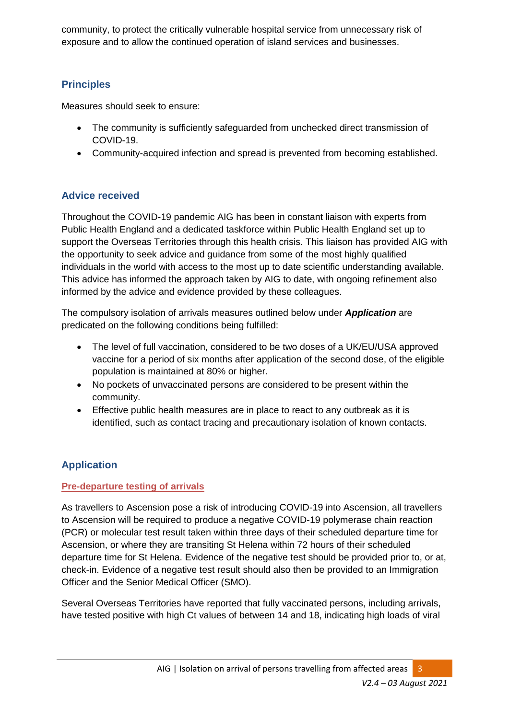community, to protect the critically vulnerable hospital service from unnecessary risk of exposure and to allow the continued operation of island services and businesses.

# **Principles**

Measures should seek to ensure:

- The community is sufficiently safeguarded from unchecked direct transmission of COVID-19.
- Community-acquired infection and spread is prevented from becoming established.

# **Advice received**

Throughout the COVID-19 pandemic AIG has been in constant liaison with experts from Public Health England and a dedicated taskforce within Public Health England set up to support the Overseas Territories through this health crisis. This liaison has provided AIG with the opportunity to seek advice and guidance from some of the most highly qualified individuals in the world with access to the most up to date scientific understanding available. This advice has informed the approach taken by AIG to date, with ongoing refinement also informed by the advice and evidence provided by these colleagues.

The compulsory isolation of arrivals measures outlined below under *Application* are predicated on the following conditions being fulfilled:

- The level of full vaccination, considered to be two doses of a UK/EU/USA approved vaccine for a period of six months after application of the second dose, of the eligible population is maintained at 80% or higher.
- No pockets of unvaccinated persons are considered to be present within the community.
- Effective public health measures are in place to react to any outbreak as it is identified, such as contact tracing and precautionary isolation of known contacts.

# **Application**

## **Pre-departure testing of arrivals**

As travellers to Ascension pose a risk of introducing COVID-19 into Ascension, all travellers to Ascension will be required to produce a negative COVID-19 polymerase chain reaction (PCR) or molecular test result taken within three days of their scheduled departure time for Ascension, or where they are transiting St Helena within 72 hours of their scheduled departure time for St Helena. Evidence of the negative test should be provided prior to, or at, check-in. Evidence of a negative test result should also then be provided to an Immigration Officer and the Senior Medical Officer (SMO).

Several Overseas Territories have reported that fully vaccinated persons, including arrivals, have tested positive with high Ct values of between 14 and 18, indicating high loads of viral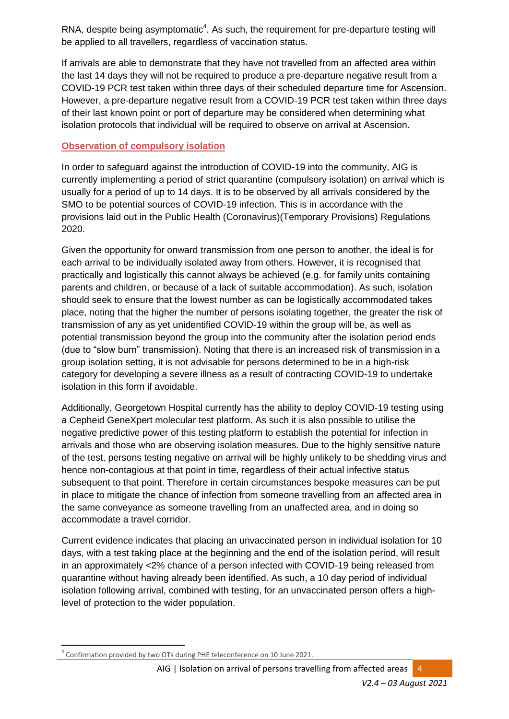RNA, despite being asymptomatic $4$ . As such, the requirement for pre-departure testing will be applied to all travellers, regardless of vaccination status.

If arrivals are able to demonstrate that they have not travelled from an affected area within the last 14 days they will not be required to produce a pre-departure negative result from a COVID-19 PCR test taken within three days of their scheduled departure time for Ascension. However, a pre-departure negative result from a COVID-19 PCR test taken within three days of their last known point or port of departure may be considered when determining what isolation protocols that individual will be required to observe on arrival at Ascension.

## **Observation of compulsory isolation**

In order to safeguard against the introduction of COVID-19 into the community, AIG is currently implementing a period of strict quarantine (compulsory isolation) on arrival which is usually for a period of up to 14 days. It is to be observed by all arrivals considered by the SMO to be potential sources of COVID-19 infection. This is in accordance with the provisions laid out in the Public Health (Coronavirus)(Temporary Provisions) Regulations 2020.

Given the opportunity for onward transmission from one person to another, the ideal is for each arrival to be individually isolated away from others. However, it is recognised that practically and logistically this cannot always be achieved (e.g. for family units containing parents and children, or because of a lack of suitable accommodation). As such, isolation should seek to ensure that the lowest number as can be logistically accommodated takes place, noting that the higher the number of persons isolating together, the greater the risk of transmission of any as yet unidentified COVID-19 within the group will be, as well as potential transmission beyond the group into the community after the isolation period ends (due to "slow burn" transmission). Noting that there is an increased risk of transmission in a group isolation setting, it is not advisable for persons determined to be in a high-risk category for developing a severe illness as a result of contracting COVID-19 to undertake isolation in this form if avoidable.

Additionally, Georgetown Hospital currently has the ability to deploy COVID-19 testing using a Cepheid GeneXpert molecular test platform. As such it is also possible to utilise the negative predictive power of this testing platform to establish the potential for infection in arrivals and those who are observing isolation measures. Due to the highly sensitive nature of the test, persons testing negative on arrival will be highly unlikely to be shedding virus and hence non-contagious at that point in time, regardless of their actual infective status subsequent to that point. Therefore in certain circumstances bespoke measures can be put in place to mitigate the chance of infection from someone travelling from an affected area in the same conveyance as someone travelling from an unaffected area, and in doing so accommodate a travel corridor.

Current evidence indicates that placing an unvaccinated person in individual isolation for 10 days, with a test taking place at the beginning and the end of the isolation period, will result in an approximately <2% chance of a person infected with COVID-19 being released from quarantine without having already been identified. As such, a 10 day period of individual isolation following arrival, combined with testing, for an unvaccinated person offers a highlevel of protection to the wider population.

 $\overline{\phantom{a}}$ 4 Confirmation provided by two OTs during PHE teleconference on 10 June 2021.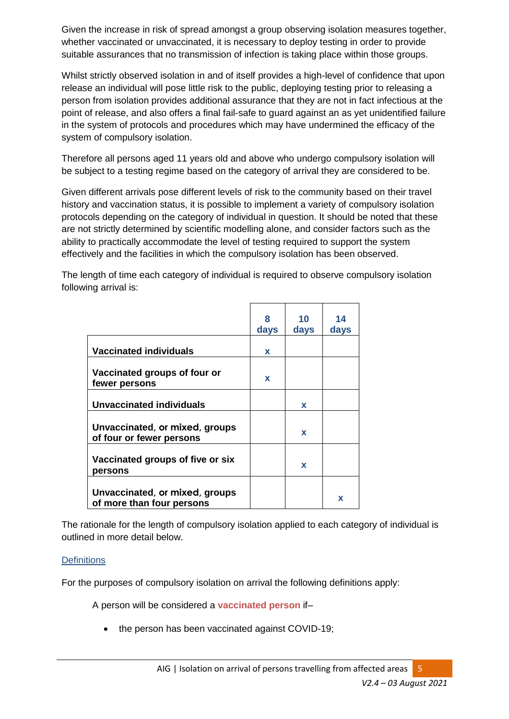Given the increase in risk of spread amongst a group observing isolation measures together, whether vaccinated or unvaccinated, it is necessary to deploy testing in order to provide suitable assurances that no transmission of infection is taking place within those groups.

Whilst strictly observed isolation in and of itself provides a high-level of confidence that upon release an individual will pose little risk to the public, deploying testing prior to releasing a person from isolation provides additional assurance that they are not in fact infectious at the point of release, and also offers a final fail-safe to guard against an as yet unidentified failure in the system of protocols and procedures which may have undermined the efficacy of the system of compulsory isolation.

Therefore all persons aged 11 years old and above who undergo compulsory isolation will be subject to a testing regime based on the category of arrival they are considered to be.

Given different arrivals pose different levels of risk to the community based on their travel history and vaccination status, it is possible to implement a variety of compulsory isolation protocols depending on the category of individual in question. It should be noted that these are not strictly determined by scientific modelling alone, and consider factors such as the ability to practically accommodate the level of testing required to support the system effectively and the facilities in which the compulsory isolation has been observed.

The length of time each category of individual is required to observe compulsory isolation following arrival is:

|                                                             | 8<br>days   | 10<br>days  | 14<br>days |
|-------------------------------------------------------------|-------------|-------------|------------|
| <b>Vaccinated individuals</b>                               | X           |             |            |
| Vaccinated groups of four or<br>fewer persons               | $\mathbf x$ |             |            |
| <b>Unvaccinated individuals</b>                             |             | $\mathbf x$ |            |
| Unvaccinated, or mixed, groups<br>of four or fewer persons  |             | $\mathbf x$ |            |
| Vaccinated groups of five or six<br>persons                 |             | X           |            |
| Unvaccinated, or mixed, groups<br>of more than four persons |             |             | x          |

The rationale for the length of compulsory isolation applied to each category of individual is outlined in more detail below.

#### **Definitions**

For the purposes of compulsory isolation on arrival the following definitions apply:

A person will be considered a **vaccinated person** if–

• the person has been vaccinated against COVID-19;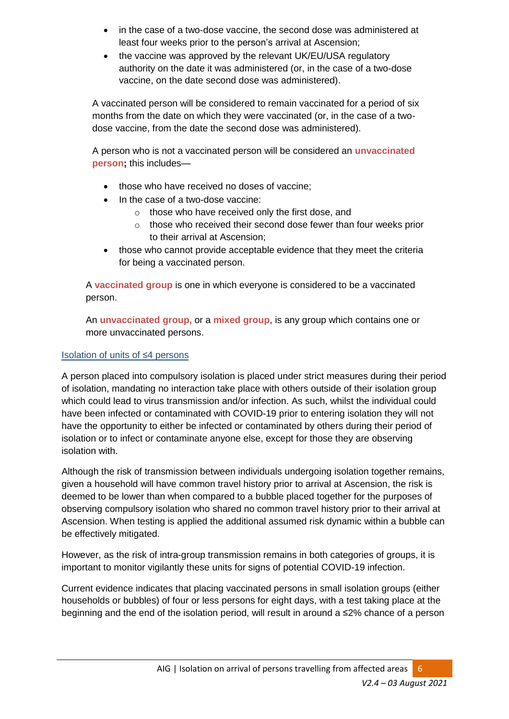- in the case of a two-dose vaccine, the second dose was administered at least four weeks prior to the person's arrival at Ascension;
- the vaccine was approved by the relevant UK/EU/USA regulatory authority on the date it was administered (or, in the case of a two-dose vaccine, on the date second dose was administered).

A vaccinated person will be considered to remain vaccinated for a period of six months from the date on which they were vaccinated (or, in the case of a twodose vaccine, from the date the second dose was administered).

A person who is not a vaccinated person will be considered an **unvaccinated person;** this includes—

- those who have received no doses of vaccine:
- In the case of a two-dose vaccine:
	- o those who have received only the first dose, and
	- o those who received their second dose fewer than four weeks prior to their arrival at Ascension;
- those who cannot provide acceptable evidence that they meet the criteria for being a vaccinated person.

A **vaccinated group** is one in which everyone is considered to be a vaccinated person.

An **unvaccinated group,** or a **mixed group**, is any group which contains one or more unvaccinated persons.

## Isolation of units of ≤4 persons

A person placed into compulsory isolation is placed under strict measures during their period of isolation, mandating no interaction take place with others outside of their isolation group which could lead to virus transmission and/or infection. As such, whilst the individual could have been infected or contaminated with COVID-19 prior to entering isolation they will not have the opportunity to either be infected or contaminated by others during their period of isolation or to infect or contaminate anyone else, except for those they are observing isolation with.

Although the risk of transmission between individuals undergoing isolation together remains, given a household will have common travel history prior to arrival at Ascension, the risk is deemed to be lower than when compared to a bubble placed together for the purposes of observing compulsory isolation who shared no common travel history prior to their arrival at Ascension. When testing is applied the additional assumed risk dynamic within a bubble can be effectively mitigated.

However, as the risk of intra-group transmission remains in both categories of groups, it is important to monitor vigilantly these units for signs of potential COVID-19 infection.

Current evidence indicates that placing vaccinated persons in small isolation groups (either households or bubbles) of four or less persons for eight days, with a test taking place at the beginning and the end of the isolation period, will result in around a ≤2% chance of a person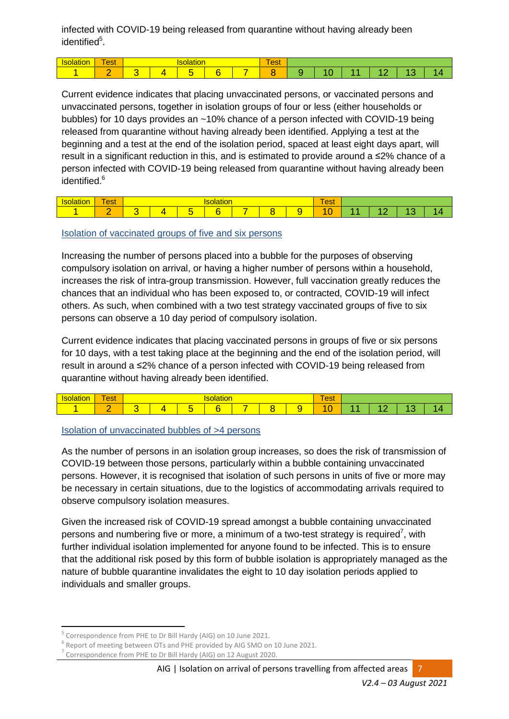infected with COVID-19 being released from quarantine without having already been identified<sup>5</sup>.

| <b><i><u>Property</u></i></b><br>. . | $\overline{\phantom{a}}$<br><b>est</b> | <u>vialium</u> |  |   |  |  | $\sim$<br>est |  |     |   |
|--------------------------------------|----------------------------------------|----------------|--|---|--|--|---------------|--|-----|---|
|                                      | $\sim$                                 |                |  | - |  |  |               |  | . . | - |

Current evidence indicates that placing unvaccinated persons, or vaccinated persons and unvaccinated persons, together in isolation groups of four or less (either households or bubbles) for 10 days provides an ~10% chance of a person infected with COVID-19 being released from quarantine without having already been identified. Applying a test at the beginning and a test at the end of the isolation period, spaced at least eight days apart, will result in a significant reduction in this, and is estimated to provide around a ≤2% chance of a person infected with COVID-19 being released from quarantine without having already been identified.<sup>6</sup>

| $\overline{\phantom{a}}$<br>est |  |   |  | $\overline{\phantom{a}}$<br>$\sim$<br><b>C</b> ol |  |  |        |     |  |  |
|---------------------------------|--|---|--|---------------------------------------------------|--|--|--------|-----|--|--|
| . .                             |  | - |  |                                                   |  |  | -<br>м | . . |  |  |

#### Isolation of vaccinated groups of five and six persons

Increasing the number of persons placed into a bubble for the purposes of observing compulsory isolation on arrival, or having a higher number of persons within a household, increases the risk of intra-group transmission. However, full vaccination greatly reduces the chances that an individual who has been exposed to, or contracted, COVID-19 will infect others. As such, when combined with a two test strategy vaccinated groups of five to six persons can observe a 10 day period of compulsory isolation.

Current evidence indicates that placing vaccinated persons in groups of five or six persons for 10 days, with a test taking place at the beginning and the end of the isolation period, will result in around a ≤2% chance of a person infected with COVID-19 being released from quarantine without having already been identified.

| $\overline{\phantom{a}}$<br>oct.<br><b>C</b> ol |  |        | $\mathbf{v}$ | $\sim$<br>est |  |  |             |     |  |
|-------------------------------------------------|--|--------|--------------|---------------|--|--|-------------|-----|--|
| -                                               |  | $\sim$ |              | -             |  |  | -<br>-<br>л | . . |  |

#### Isolation of unvaccinated bubbles of >4 persons

As the number of persons in an isolation group increases, so does the risk of transmission of COVID-19 between those persons, particularly within a bubble containing unvaccinated persons. However, it is recognised that isolation of such persons in units of five or more may be necessary in certain situations, due to the logistics of accommodating arrivals required to observe compulsory isolation measures.

Given the increased risk of COVID-19 spread amongst a bubble containing unvaccinated persons and numbering five or more, a minimum of a two-test strategy is required<sup>7</sup>, with further individual isolation implemented for anyone found to be infected. This is to ensure that the additional risk posed by this form of bubble isolation is appropriately managed as the nature of bubble quarantine invalidates the eight to 10 day isolation periods applied to individuals and smaller groups.

**.** 

<sup>5</sup> Correspondence from PHE to Dr Bill Hardy (AIG) on 10 June 2021.

<sup>6</sup> Report of meeting between OTs and PHE provided by AIG SMO on 10 June 2021.

<sup>&</sup>lt;sup>7</sup> Correspondence from PHE to Dr Bill Hardy (AIG) on 12 August 2020.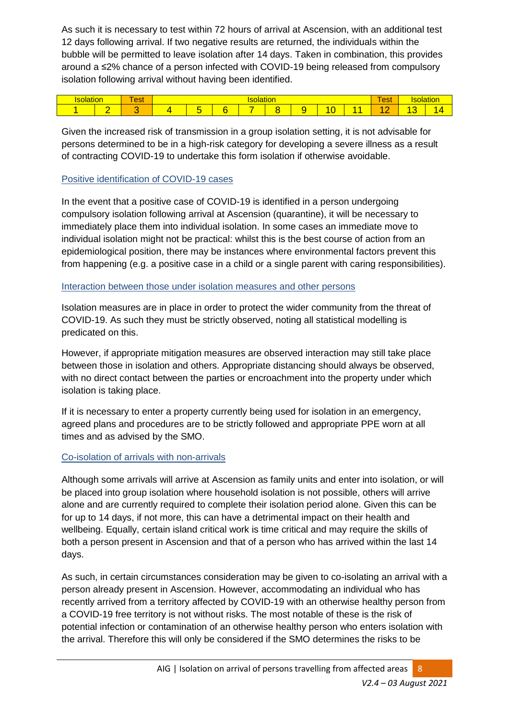As such it is necessary to test within 72 hours of arrival at Ascension, with an additional test 12 days following arrival. If two negative results are returned, the individuals within the bubble will be permitted to leave isolation after 14 days. Taken in combination, this provides around a ≤2% chance of a person infected with COVID-19 being released from compulsory isolation following arrival without having been identified.

|  | $\sim$<br>$- - +$<br>GOL | - |                          |  |   |  |  |  |  |   |     |
|--|--------------------------|---|--------------------------|--|---|--|--|--|--|---|-----|
|  |                          |   | $\overline{\phantom{0}}$ |  | - |  |  |  |  | - | . . |

Given the increased risk of transmission in a group isolation setting, it is not advisable for persons determined to be in a high-risk category for developing a severe illness as a result of contracting COVID-19 to undertake this form isolation if otherwise avoidable.

#### Positive identification of COVID-19 cases

In the event that a positive case of COVID-19 is identified in a person undergoing compulsory isolation following arrival at Ascension (quarantine), it will be necessary to immediately place them into individual isolation. In some cases an immediate move to individual isolation might not be practical: whilst this is the best course of action from an epidemiological position, there may be instances where environmental factors prevent this from happening (e.g. a positive case in a child or a single parent with caring responsibilities).

#### Interaction between those under isolation measures and other persons

Isolation measures are in place in order to protect the wider community from the threat of COVID-19. As such they must be strictly observed, noting all statistical modelling is predicated on this.

However, if appropriate mitigation measures are observed interaction may still take place between those in isolation and others. Appropriate distancing should always be observed, with no direct contact between the parties or encroachment into the property under which isolation is taking place.

If it is necessary to enter a property currently being used for isolation in an emergency, agreed plans and procedures are to be strictly followed and appropriate PPE worn at all times and as advised by the SMO.

#### Co-isolation of arrivals with non-arrivals

Although some arrivals will arrive at Ascension as family units and enter into isolation, or will be placed into group isolation where household isolation is not possible, others will arrive alone and are currently required to complete their isolation period alone. Given this can be for up to 14 days, if not more, this can have a detrimental impact on their health and wellbeing. Equally, certain island critical work is time critical and may require the skills of both a person present in Ascension and that of a person who has arrived within the last 14 days.

As such, in certain circumstances consideration may be given to co-isolating an arrival with a person already present in Ascension. However, accommodating an individual who has recently arrived from a territory affected by COVID-19 with an otherwise healthy person from a COVID-19 free territory is not without risks. The most notable of these is the risk of potential infection or contamination of an otherwise healthy person who enters isolation with the arrival. Therefore this will only be considered if the SMO determines the risks to be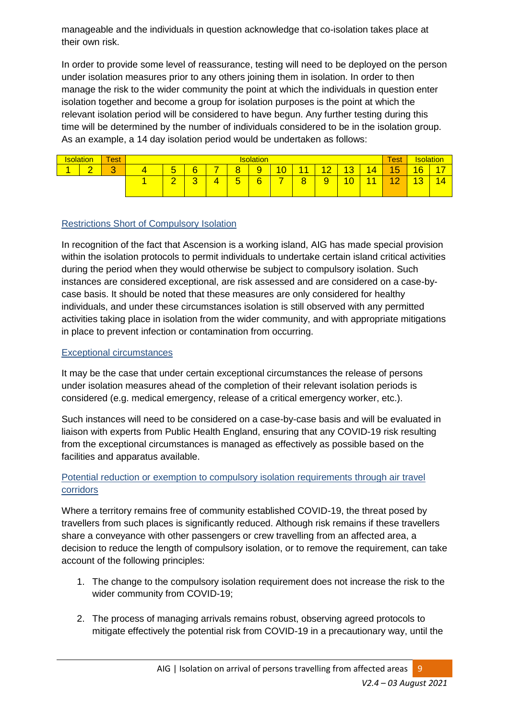manageable and the individuals in question acknowledge that co-isolation takes place at their own risk.

In order to provide some level of reassurance, testing will need to be deployed on the person under isolation measures prior to any others joining them in isolation. In order to then manage the risk to the wider community the point at which the individuals in question enter isolation together and become a group for isolation purposes is the point at which the relevant isolation period will be considered to have begun. Any further testing during this time will be determined by the number of individuals considered to be in the isolation group. As an example, a 14 day isolation period would be undertaken as follows:

|                                    | <b>Test</b> | <b>Isolation</b> |                               |   |                               |   |                 |    |                       |                                     |                      |                 |              | <b>Isolation</b> |
|------------------------------------|-------------|------------------|-------------------------------|---|-------------------------------|---|-----------------|----|-----------------------|-------------------------------------|----------------------|-----------------|--------------|------------------|
| $\sqrt{2}$<br>$\sqrt{2}$<br>A<br>U |             | <b>.</b><br>ັ    | 6                             |   | ō<br>÷                        | 9 | 10 <sub>1</sub> | 44 | $\overline{4\,}$<br>- | 12<br><u> 10</u>                    | $\overline{14}$<br>4 | -<br>đ          | 16           | $7 -$            |
|                                    |             | ⌒<br>-           | $\overline{\phantom{a}}$<br>ັ | 4 | E<br>$\overline{\phantom{a}}$ | 6 |                 | 8  | $\overline{a}$<br>÷   | $\overline{0}$<br><b>STATISTICS</b> |                      | $\sqrt{2}$<br>- | 12<br>$\sim$ | 14               |

## Restrictions Short of Compulsory Isolation

In recognition of the fact that Ascension is a working island, AIG has made special provision within the isolation protocols to permit individuals to undertake certain island critical activities during the period when they would otherwise be subject to compulsory isolation. Such instances are considered exceptional, are risk assessed and are considered on a case-bycase basis. It should be noted that these measures are only considered for healthy individuals, and under these circumstances isolation is still observed with any permitted activities taking place in isolation from the wider community, and with appropriate mitigations in place to prevent infection or contamination from occurring.

#### Exceptional circumstances

It may be the case that under certain exceptional circumstances the release of persons under isolation measures ahead of the completion of their relevant isolation periods is considered (e.g. medical emergency, release of a critical emergency worker, etc.).

Such instances will need to be considered on a case-by-case basis and will be evaluated in liaison with experts from Public Health England, ensuring that any COVID-19 risk resulting from the exceptional circumstances is managed as effectively as possible based on the facilities and apparatus available.

## Potential reduction or exemption to compulsory isolation requirements through air travel corridors

Where a territory remains free of community established COVID-19, the threat posed by travellers from such places is significantly reduced. Although risk remains if these travellers share a conveyance with other passengers or crew travelling from an affected area, a decision to reduce the length of compulsory isolation, or to remove the requirement, can take account of the following principles:

- 1. The change to the compulsory isolation requirement does not increase the risk to the wider community from COVID-19;
- 2. The process of managing arrivals remains robust, observing agreed protocols to mitigate effectively the potential risk from COVID-19 in a precautionary way, until the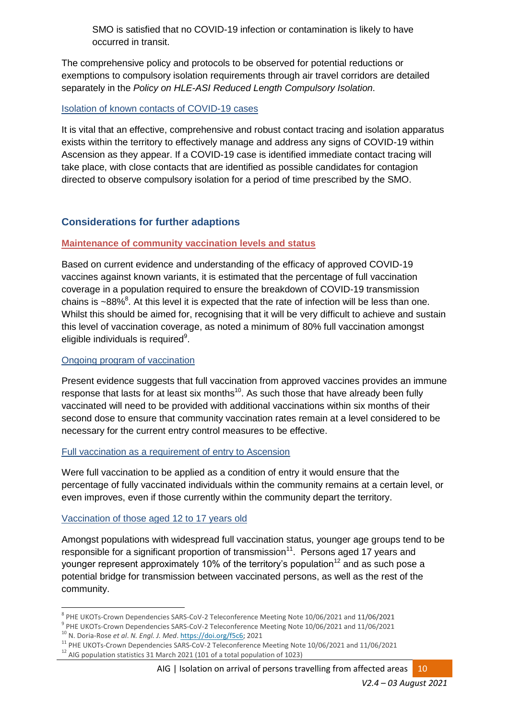SMO is satisfied that no COVID-19 infection or contamination is likely to have occurred in transit.

The comprehensive policy and protocols to be observed for potential reductions or exemptions to compulsory isolation requirements through air travel corridors are detailed separately in the *Policy on HLE-ASI Reduced Length Compulsory Isolation*.

#### Isolation of known contacts of COVID-19 cases

It is vital that an effective, comprehensive and robust contact tracing and isolation apparatus exists within the territory to effectively manage and address any signs of COVID-19 within Ascension as they appear. If a COVID-19 case is identified immediate contact tracing will take place, with close contacts that are identified as possible candidates for contagion directed to observe compulsory isolation for a period of time prescribed by the SMO.

# **Considerations for further adaptions**

## **Maintenance of community vaccination levels and status**

Based on current evidence and understanding of the efficacy of approved COVID-19 vaccines against known variants, it is estimated that the percentage of full vaccination coverage in a population required to ensure the breakdown of COVID-19 transmission chains is  $\sim$ 88%<sup>8</sup>. At this level it is expected that the rate of infection will be less than one. Whilst this should be aimed for, recognising that it will be very difficult to achieve and sustain this level of vaccination coverage, as noted a minimum of 80% full vaccination amongst eligible individuals is required<sup>9</sup>.

#### Ongoing program of vaccination

Present evidence suggests that full vaccination from approved vaccines provides an immune response that lasts for at least six months $^{10}$ . As such those that have already been fully vaccinated will need to be provided with additional vaccinations within six months of their second dose to ensure that community vaccination rates remain at a level considered to be necessary for the current entry control measures to be effective.

#### Full vaccination as a requirement of entry to Ascension

Were full vaccination to be applied as a condition of entry it would ensure that the percentage of fully vaccinated individuals within the community remains at a certain level, or even improves, even if those currently within the community depart the territory.

#### Vaccination of those aged 12 to 17 years old

Amongst populations with widespread full vaccination status, younger age groups tend to be responsible for a significant proportion of transmission<sup>11</sup>. Persons aged 17 years and younger represent approximately 10% of the territory's population<sup>12</sup> and as such pose a potential bridge for transmission between vaccinated persons, as well as the rest of the community.

<sup>1</sup> <sup>8</sup> PHE UKOTs-Crown Dependencies SARS-CoV-2 Teleconference Meeting Note 10/06/2021 and 11/06/2021

<sup>&</sup>lt;sup>9</sup> PHE UKOTs-Crown Dependencies SARS-CoV-2 Teleconference Meeting Note 10/06/2021 and 11/06/2021

<sup>10</sup> N. Doria-Rose *et al*. *N. Engl. J. Med*. [https://doi.org/f5c6;](https://doi.org/f5c6) 2021

<sup>11</sup> PHE UKOTs-Crown Dependencies SARS-CoV-2 Teleconference Meeting Note 10/06/2021 and 11/06/2021 <sup>12</sup> AIG population statistics 31 March 2021 (101 of a total population of 1023)